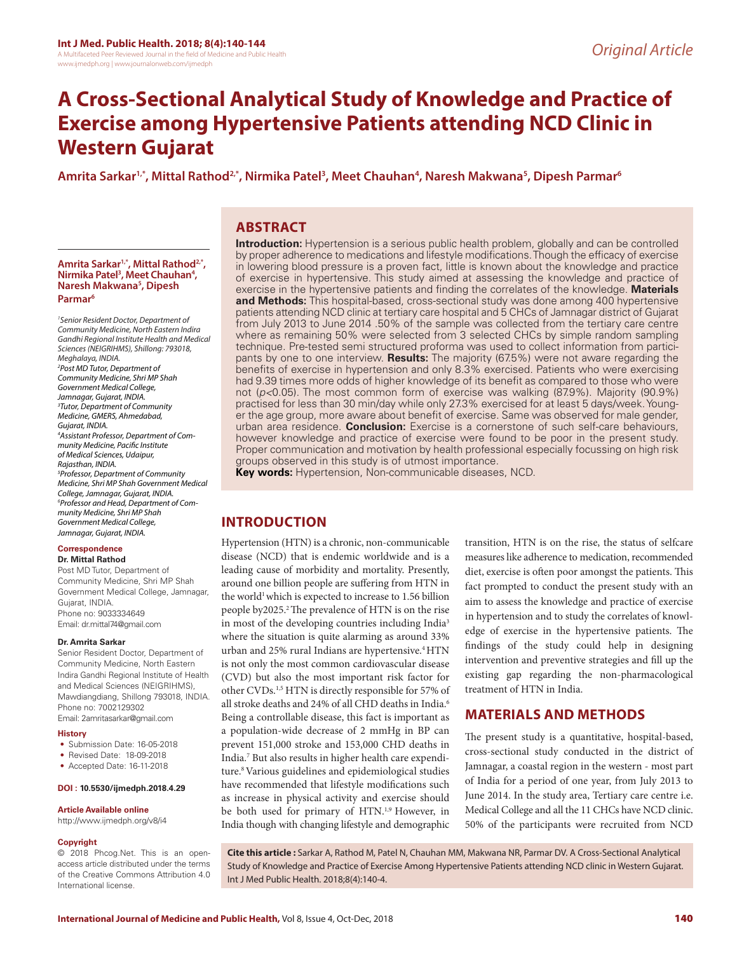# **A Cross-Sectional Analytical Study of Knowledge and Practice of Exercise among Hypertensive Patients attending NCD Clinic in Western Gujarat**

# **Amrita Sarkar1,\*, Mittal Rathod2,\*, Nirmika Patel3 , Meet Chauhan4 , Naresh Makwana5 , Dipesh Parmar6**

# **ABSTRACT**

**Amrita Sarkar1,\*, Mittal Rathod2,\*, Nirmika Patel3 , Meet Chauhan4 , Naresh Makwana5 , Dipesh Parmar6**

*1 Senior Resident Doctor, Department of Community Medicine, North Eastern Indira Gandhi Regional Institute Health and Medical Sciences (NEIGRIHMS), Shillong: 793018, Meghalaya, INDIA. 2 Post MD Tutor, Department of Community Medicine, Shri MP Shah Government Medical College, Jamnagar, Gujarat, INDIA. 3 Tutor, Department of Community Medicine, GMERS, Ahmedabad, Gujarat, INDIA. 4 Assistant Professor, Department of Community Medicine, Pacific Institute of Medical Sciences, Udaipur, Rajasthan, INDIA. 5 Professor, Department of Community Medicine, Shri MP Shah Government Medical College, Jamnagar, Gujarat, INDIA. 6 Professor and Head, Department of Community Medicine, Shri MP Shah Government Medical College, Jamnagar, Gujarat, INDIA.*

#### **Correspondence**

**Dr. Mittal Rathod** Post MD Tutor, Department of Community Medicine, Shri MP Shah Government Medical College, Jamnagar, Gujarat, INDIA. Phone no: 9033334649 Email: dr.mittal74@gmail.com

#### **Dr. Amrita Sarkar**

Senior Resident Doctor, Department of Community Medicine, North Eastern Indira Gandhi Regional Institute of Health and Medical Sciences (NEIGRIHMS), Mawdiangdiang, Shillong 793018, INDIA. Phone no: 7002129302 Email: 2amritasarkar@gmail.com

#### **History**

- Submission Date: 16-05-2018
- Revised Date: 18-09-2018
- Accepted Date: 16-11-2018

#### **DOI : 10.5530/ijmedph.2018.4.29**

#### **Article Available online**

http://www.ijmedph.org/v8/i4

#### **Copyright**

© 2018 Phcog.Net. This is an openaccess article distributed under the terms of the Creative Commons Attribution 4.0 International license.

**Introduction:** Hypertension is a serious public health problem, globally and can be controlled by proper adherence to medications and lifestyle modifications. Though the efficacy of exercise in lowering blood pressure is a proven fact, little is known about the knowledge and practice of exercise in hypertensive. This study aimed at assessing the knowledge and practice of exercise in the hypertensive patients and finding the correlates of the knowledge. **Materials and Methods:** This hospital-based, cross-sectional study was done among 400 hypertensive patients attending NCD clinic at tertiary care hospital and 5 CHCs of Jamnagar district of Gujarat from July 2013 to June 2014 .50% of the sample was collected from the tertiary care centre where as remaining 50% were selected from 3 selected CHCs by simple random sampling technique. Pre-tested semi structured proforma was used to collect information from participants by one to one interview. **Results:** The majority (67.5%) were not aware regarding the benefits of exercise in hypertension and only 8.3% exercised. Patients who were exercising had 9.39 times more odds of higher knowledge of its benefit as compared to those who were not (*p<*0.05). The most common form of exercise was walking (87.9%). Majority (90.9%) practised for less than 30 min/day while only 27.3% exercised for at least 5 days/week. Younger the age group, more aware about benefit of exercise. Same was observed for male gender, urban area residence. **Conclusion:** Exercise is a cornerstone of such self-care behaviours, however knowledge and practice of exercise were found to be poor in the present study. Proper communication and motivation by health professional especially focussing on high risk groups observed in this study is of utmost importance.

**Key words:** Hypertension, Non-communicable diseases, NCD.

# **INTRODUCTION**

Hypertension (HTN) is a chronic, non-communicable disease (NCD) that is endemic worldwide and is a leading cause of morbidity and mortality. Presently, around one billion people are suffering from HTN in the world<sup>1</sup> which is expected to increase to 1.56 billion people by2025.2 The prevalence of HTN is on the rise in most of the developing countries including India<sup>3</sup> where the situation is quite alarming as around 33% urban and 25% rural Indians are hypertensive.<sup>4</sup> HTN is not only the most common cardiovascular disease (CVD) but also the most important risk factor for other CVDs.1,5 HTN is directly responsible for 57% of all stroke deaths and 24% of all CHD deaths in India.<sup>6</sup> Being a controllable disease, this fact is important as a population-wide decrease of 2 mmHg in BP can prevent 151,000 stroke and 153,000 CHD deaths in India.7 But also results in higher health care expenditure.8 Various guidelines and epidemiological studies have recommended that lifestyle modifications such as increase in physical activity and exercise should be both used for primary of HTN.<sup>1,9</sup> However, in India though with changing lifestyle and demographic

transition, HTN is on the rise, the status of selfcare measures like adherence to medication, recommended diet, exercise is often poor amongst the patients. This fact prompted to conduct the present study with an aim to assess the knowledge and practice of exercise in hypertension and to study the correlates of knowledge of exercise in the hypertensive patients. The findings of the study could help in designing intervention and preventive strategies and fill up the existing gap regarding the non-pharmacological treatment of HTN in India.

# **MATERIALS AND METHODS**

The present study is a quantitative, hospital-based, cross-sectional study conducted in the district of Jamnagar, a coastal region in the western - most part of India for a period of one year, from July 2013 to June 2014. In the study area, Tertiary care centre i.e. Medical College and all the 11 CHCs have NCD clinic. 50% of the participants were recruited from NCD

**Cite this article :** Sarkar A, Rathod M, Patel N, Chauhan MM, Makwana NR, Parmar DV. A Cross-Sectional Analytical Study of Knowledge and Practice of Exercise Among Hypertensive Patients attending NCD clinic in Western Gujarat. Int J Med Public Health. 2018;8(4):140-4.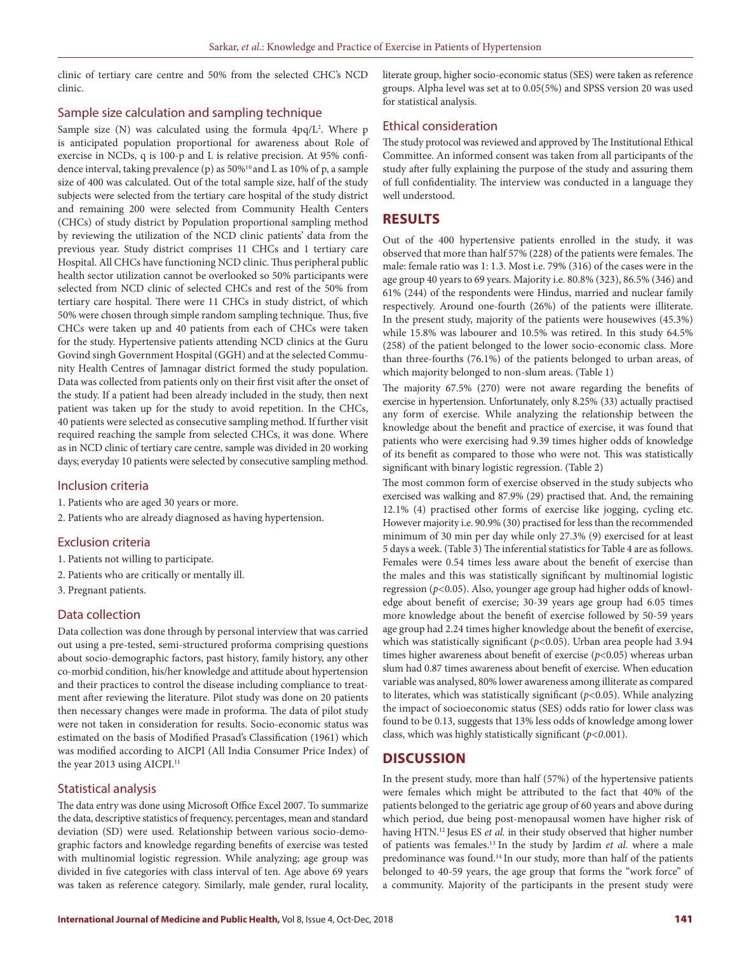clinic of tertiary care centre and 50% from the selected CHC's NCD clinic.

#### Sample size calculation and sampling technique

Sample size  $(N)$  was calculated using the formula  $4pq/L^2$ . Where p is anticipated population proportional for awareness about Role of exercise in NCDs, q is 100-p and L is relative precision. At 95% confidence interval, taking prevalence (p) as 50%<sup>10</sup> and L as 10% of p, a sample size of 400 was calculated. Out of the total sample size, half of the study subjects were selected from the tertiary care hospital of the study district and remaining 200 were selected from Community Health Centers (CHCs) of study district by Population proportional sampling method by reviewing the utilization of the NCD clinic patients' data from the previous year. Study district comprises 11 CHCs and 1 tertiary care Hospital. All CHCs have functioning NCD clinic. Thus peripheral public health sector utilization cannot be overlooked so 50% participants were selected from NCD clinic of selected CHCs and rest of the 50% from tertiary care hospital. There were 11 CHCs in study district, of which 50% were chosen through simple random sampling technique. Thus, five CHCs were taken up and 40 patients from each of CHCs were taken for the study. Hypertensive patients attending NCD clinics at the Guru Govind singh Government Hospital (GGH) and at the selected Community Health Centres of Jamnagar district formed the study population. Data was collected from patients only on their first visit after the onset of the study. If a patient had been already included in the study, then next patient was taken up for the study to avoid repetition. In the CHCs, 40 patients were selected as consecutive sampling method. If further visit required reaching the sample from selected CHCs, it was done. Where as in NCD clinic of tertiary care centre, sample was divided in 20 working days; everyday 10 patients were selected by consecutive sampling method.

## Inclusion criteria

- 1. Patients who are aged 30 years or more.
- 2. Patients who are already diagnosed as having hypertension.

# Exclusion criteria

- 1. Patients not willing to participate.
- 2. Patients who are critically or mentally ill.
- 3. Pregnant patients.

## Data collection

Data collection was done through by personal interview that was carried out using a pre-tested, semi-structured proforma comprising questions about socio-demographic factors, past history, family history, any other co-morbid condition, his/her knowledge and attitude about hypertension and their practices to control the disease including compliance to treatment after reviewing the literature. Pilot study was done on 20 patients then necessary changes were made in proforma. The data of pilot study were not taken in consideration for results. Socio-economic status was estimated on the basis of Modified Prasad's Classification (1961) which was modified according to AICPI (All India Consumer Price Index) of the year 2013 using AICPI.<sup>11</sup>

#### Statistical analysis

The data entry was done using Microsoft Office Excel 2007. To summarize the data, descriptive statistics of frequency, percentages, mean and standard deviation (SD) were used. Relationship between various socio-demographic factors and knowledge regarding benefits of exercise was tested with multinomial logistic regression. While analyzing; age group was divided in five categories with class interval of ten. Age above 69 years was taken as reference category. Similarly, male gender, rural locality,

literate group, higher socio-economic status (SES) were taken as reference groups. Alpha level was set at to 0.05(5%) and SPSS version 20 was used for statistical analysis.

## Ethical consideration

The study protocol was reviewed and approved by The Institutional Ethical Committee. An informed consent was taken from all participants of the study after fully explaining the purpose of the study and assuring them of full confidentiality. The interview was conducted in a language they well understood.

# **RESULTS**

Out of the 400 hypertensive patients enrolled in the study, it was observed that more than half 57% (228) of the patients were females. The male: female ratio was 1: 1.3. Most i.e. 79% (316) of the cases were in the age group 40 years to 69 years. Majority i.e. 80.8% (323), 86.5% (346) and 61% (244) of the respondents were Hindus, married and nuclear family respectively. Around one-fourth (26%) of the patients were illiterate. In the present study, majority of the patients were housewives (45.3%) while 15.8% was labourer and 10.5% was retired. In this study 64.5% (258) of the patient belonged to the lower socio-economic class. More than three-fourths (76.1%) of the patients belonged to urban areas, of which majority belonged to non-slum areas. (Table 1)

The majority 67.5% (270) were not aware regarding the benefits of exercise in hypertension. Unfortunately, only 8.25% (33) actually practised any form of exercise. While analyzing the relationship between the knowledge about the benefit and practice of exercise, it was found that patients who were exercising had 9.39 times higher odds of knowledge of its benefit as compared to those who were not. This was statistically significant with binary logistic regression. (Table 2)

The most common form of exercise observed in the study subjects who exercised was walking and 87.9% (29) practised that. And, the remaining 12.1% (4) practised other forms of exercise like jogging, cycling etc. However majority i.e. 90.9% (30) practised for less than the recommended minimum of 30 min per day while only 27.3% (9) exercised for at least 5 days a week. (Table 3) The inferential statistics for Table 4 are as follows. Females were 0.54 times less aware about the benefit of exercise than the males and this was statistically significant by multinomial logistic regression (*p<*0.05). Also, younger age group had higher odds of knowledge about benefit of exercise; 30-39 years age group had 6.05 times more knowledge about the benefit of exercise followed by 50-59 years age group had 2.24 times higher knowledge about the benefit of exercise, which was statistically significant (*p<*0.05). Urban area people had 3.94 times higher awareness about benefit of exercise (*p<*0.05) whereas urban slum had 0.87 times awareness about benefit of exercise. When education variable was analysed, 80% lower awareness among illiterate as compared to literates, which was statistically significant (*p<*0.05). While analyzing the impact of socioeconomic status (SES) odds ratio for lower class was found to be 0.13, suggests that 13% less odds of knowledge among lower class, which was highly statistically significant (*p<0*.001).

## **DISCUSSION**

In the present study, more than half (57%) of the hypertensive patients were females which might be attributed to the fact that 40% of the patients belonged to the geriatric age group of 60 years and above during which period, due being post-menopausal women have higher risk of having HTN.12 Jesus ES *et al.* in their study observed that higher number of patients was females.13 In the study by Jardim *et al.* where a male predominance was found.14 In our study, more than half of the patients belonged to 40-59 years, the age group that forms the "work force" of a community. Majority of the participants in the present study were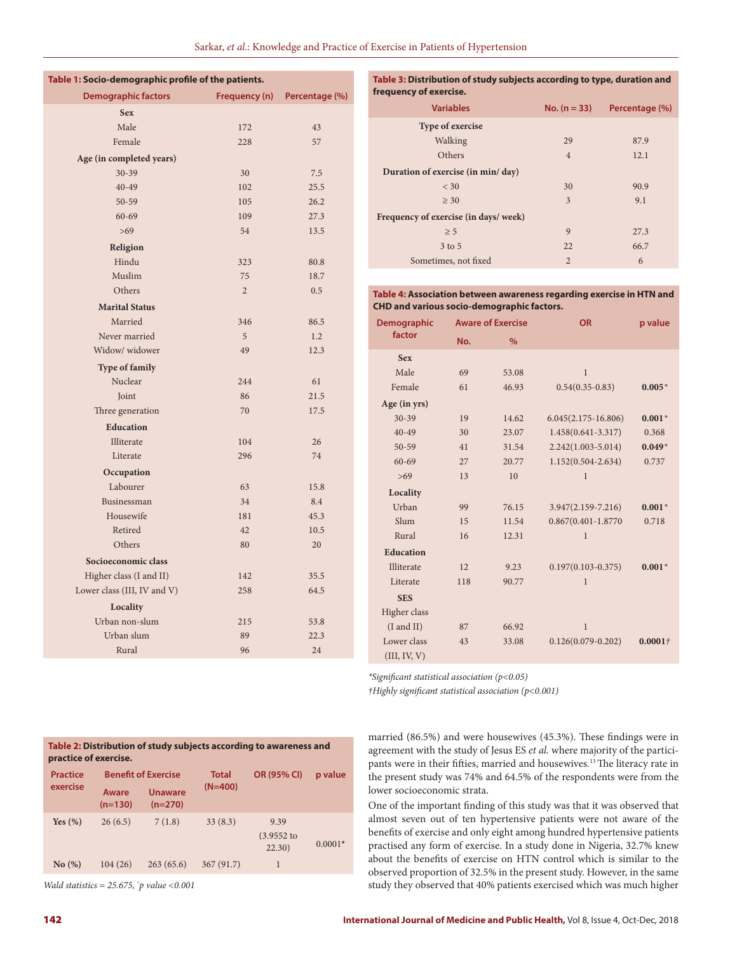| Table 1: Socio-demographic profile of the patients. |                |                |  |
|-----------------------------------------------------|----------------|----------------|--|
| <b>Demographic factors</b>                          | Frequency (n)  | Percentage (%) |  |
| <b>Sex</b>                                          |                |                |  |
| Male                                                | 172            | 43             |  |
| Female                                              | 228            | 57             |  |
| Age (in completed years)                            |                |                |  |
| $30 - 39$                                           | 30             | 7.5            |  |
| $40 - 49$                                           | 102            | 25.5           |  |
| $50 - 59$                                           | 105            | 26.2           |  |
| $60 - 69$                                           | 109            | 27.3           |  |
| $>69$                                               | 54             | 13.5           |  |
| Religion                                            |                |                |  |
| Hindu                                               | 323            | 80.8           |  |
| Muslim                                              | 75             | 18.7           |  |
| Others                                              | $\overline{2}$ | 0.5            |  |
| <b>Marital Status</b>                               |                |                |  |
| Married                                             | 346            | 86.5           |  |
| Never married                                       | 5              | 1.2            |  |
| Widow/ widower                                      | 49             | 12.3           |  |
| <b>Type of family</b>                               |                |                |  |
| Nuclear                                             | 244            | 61             |  |
| Joint                                               | 86             | 21.5           |  |
| Three generation                                    | 70             | 17.5           |  |
| <b>Education</b>                                    |                |                |  |
| Illiterate                                          | 104            | 26             |  |
| Literate                                            | 296            | 74             |  |
| Occupation                                          |                |                |  |
| Labourer                                            | 63             | 15.8           |  |
| Businessman                                         | 34             | 8.4            |  |
| Housewife                                           | 181            | 45.3           |  |
| Retired                                             | 42             | 10.5           |  |
| Others                                              | 80             | 20             |  |
| Socioeconomic class                                 |                |                |  |
| Higher class (I and II)                             | 142            | 35.5           |  |
| Lower class (III, IV and V)                         | 258            | 64.5           |  |
| Locality                                            |                |                |  |
| Urban non-slum                                      | 215            | 53.8           |  |
| Urban slum                                          | 89             | 22.3           |  |
| Rural                                               | 96             | 24             |  |

| Table 3: Distribution of study subjects according to type, duration and |  |
|-------------------------------------------------------------------------|--|
| frequency of exercise.                                                  |  |

| <b>Variables</b>                      | $No. (n = 33)$ | Percentage (%) |  |
|---------------------------------------|----------------|----------------|--|
| <b>Type of exercise</b>               |                |                |  |
| Walking                               | 29             | 87.9           |  |
| Others                                | $\overline{4}$ | 12.1           |  |
| Duration of exercise (in min/day)     |                |                |  |
| $<$ 30                                | 30             | 90.9           |  |
| $\geq 30$                             | 3              | 9.1            |  |
| Frequency of exercise (in days/ week) |                |                |  |
| $\geq 5$                              | 9              | 27.3           |  |
| 3 to 5                                | 22             | 66.7           |  |
| Sometimes, not fixed                  | $\overline{2}$ | 6              |  |

**Table 4: Association between awareness regarding exercise in HTN and CHD and various socio-demographic factors.**

| <b>Demographic</b> | <b>Aware of Exercise</b> |               | <b>OR</b>               | p value    |
|--------------------|--------------------------|---------------|-------------------------|------------|
| factor             | No.                      | $\frac{9}{6}$ |                         |            |
| <b>Sex</b>         |                          |               |                         |            |
| Male               | 69                       | 53.08         | $\mathbf{1}$            |            |
| Female             | 61                       | 46.93         | $0.54(0.35-0.83)$       | $0.005*$   |
| Age (in yrs)       |                          |               |                         |            |
| $30 - 39$          | 19                       | 14.62         | $6.045(2.175-16.806)$   | $0.001*$   |
| $40 - 49$          | 30                       | 23.07         | $1.458(0.641 - 3.317)$  | 0.368      |
| $50 - 59$          | 41                       | 31.54         | $2.242(1.003 - 5.014)$  | $0.049*$   |
| $60 - 69$          | 27                       | 20.77         | 1.152(0.504-2.634)      | 0.737      |
| >69                | 13                       | 10            | $\mathbf{1}$            |            |
| Locality           |                          |               |                         |            |
| Urban              | 99                       | 76.15         | $3.947(2.159 - 7.216)$  | $0.001*$   |
| Slum               | 15                       | 11.54         | $0.867(0.401 - 1.8770)$ | 0.718      |
| Rural              | 16                       | 12.31         | 1                       |            |
| <b>Education</b>   |                          |               |                         |            |
| Illiterate         | 12                       | 9.23          | $0.197(0.103 - 0.375)$  | $0.001*$   |
| Literate           | 118                      | 90.77         | $\mathbf{1}$            |            |
| <b>SES</b>         |                          |               |                         |            |
| Higher class       |                          |               |                         |            |
| $(I$ and $II)$     | 87                       | 66.92         | $\mathbf{1}$            |            |
| Lower class        | 43                       | 33.08         | $0.126(0.079 - 0.202)$  | $0.0001 +$ |
| (III, IV, V)       |                          |               |                         |            |

*\*Significant statistical association (p<0.05)*

*†Highly significant statistical association (p<0.001)*

| married $(86.5\%)$ and were housewives $(45.3\%)$ . These findings were in              |
|-----------------------------------------------------------------------------------------|
| agreement with the study of Jesus ES <i>et al.</i> where majority of the partici-       |
| pants were in their fifties, married and housewives. <sup>13</sup> The literacy rate in |
| the present study was 74% and 64.5% of the respondents were from the                    |
| lower socioeconomic strata.                                                             |

One of the important finding of this study was that it was observed that almost seven out of ten hypertensive patients were not aware of the benefits of exercise and only eight among hundred hypertensive patients practised any form of exercise. In a study done in Nigeria, 32.7% knew about the benefits of exercise on HTN control which is similar to the observed proportion of 32.5% in the present study. However, in the same study they observed that 40% patients exercised which was much higher

| Table 2: Distribution of study subjects according to awareness and |  |
|--------------------------------------------------------------------|--|
| practice of exercise.                                              |  |

| <b>Practice</b><br>exercise<br>Aware |           | <b>Benefit of Exercise</b>  | Total<br>$(N=400)$ | <b>OR (95% CI)</b>              | p value   |
|--------------------------------------|-----------|-----------------------------|--------------------|---------------------------------|-----------|
|                                      | $(n=130)$ | <b>Unaware</b><br>$(n=270)$ |                    |                                 |           |
| Yes $(\% )$                          | 26(6.5)   | 7(1.8)                      | 33(8.3)            | 9.39<br>$(3.9552)$ to<br>22.30) | $0.0001*$ |
| No(%)                                | 104(26)   | 263(65.6)                   | 367(91.7)          |                                 |           |

*Wald statistics = 25.675,* \* *p value <0.001*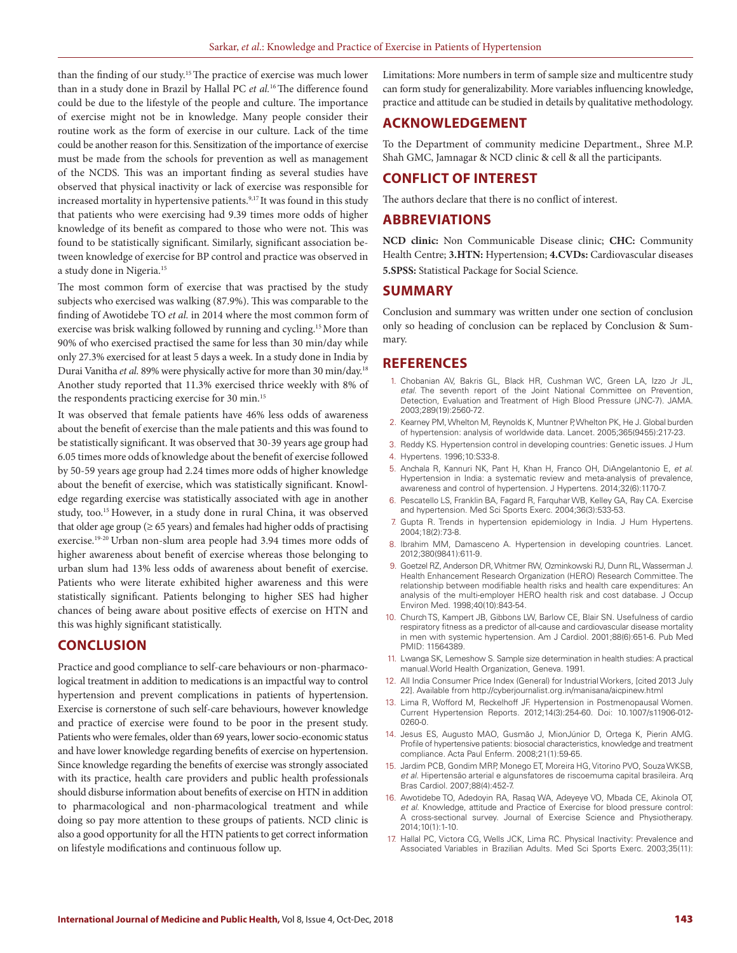than the finding of our study.15 The practice of exercise was much lower than in a study done in Brazil by Hallal PC *et al.*16 The difference found could be due to the lifestyle of the people and culture. The importance of exercise might not be in knowledge. Many people consider their routine work as the form of exercise in our culture. Lack of the time could be another reason for this. Sensitization of the importance of exercise must be made from the schools for prevention as well as management of the NCDS. This was an important finding as several studies have observed that physical inactivity or lack of exercise was responsible for increased mortality in hypertensive patients.<sup>9,17</sup> It was found in this study that patients who were exercising had 9.39 times more odds of higher knowledge of its benefit as compared to those who were not. This was found to be statistically significant. Similarly, significant association between knowledge of exercise for BP control and practice was observed in a study done in Nigeria.<sup>15</sup>

The most common form of exercise that was practised by the study subjects who exercised was walking (87.9%). This was comparable to the finding of Awotidebe TO *et al.* in 2014 where the most common form of exercise was brisk walking followed by running and cycling.15 More than 90% of who exercised practised the same for less than 30 min/day while only 27.3% exercised for at least 5 days a week. In a study done in India by Durai Vanitha *et al.* 89% were physically active for more than 30 min/day.18 Another study reported that 11.3% exercised thrice weekly with 8% of the respondents practicing exercise for 30 min.<sup>15</sup>

It was observed that female patients have 46% less odds of awareness about the benefit of exercise than the male patients and this was found to be statistically significant. It was observed that 30-39 years age group had 6.05 times more odds of knowledge about the benefit of exercise followed by 50-59 years age group had 2.24 times more odds of higher knowledge about the benefit of exercise, which was statistically significant. Knowledge regarding exercise was statistically associated with age in another study, too.<sup>15</sup> However, in a study done in rural China, it was observed that older age group ( $\geq 65$  years) and females had higher odds of practising exercise.19-20 Urban non-slum area people had 3.94 times more odds of higher awareness about benefit of exercise whereas those belonging to urban slum had 13% less odds of awareness about benefit of exercise. Patients who were literate exhibited higher awareness and this were statistically significant. Patients belonging to higher SES had higher chances of being aware about positive effects of exercise on HTN and this was highly significant statistically.

# **CONCLUSION**

Practice and good compliance to self-care behaviours or non-pharmacological treatment in addition to medications is an impactful way to control hypertension and prevent complications in patients of hypertension. Exercise is cornerstone of such self-care behaviours, however knowledge and practice of exercise were found to be poor in the present study. Patients who were females, older than 69 years, lower socio-economic status and have lower knowledge regarding benefits of exercise on hypertension. Since knowledge regarding the benefits of exercise was strongly associated with its practice, health care providers and public health professionals should disburse information about benefits of exercise on HTN in addition to pharmacological and non-pharmacological treatment and while doing so pay more attention to these groups of patients. NCD clinic is also a good opportunity for all the HTN patients to get correct information on lifestyle modifications and continuous follow up.

Limitations: More numbers in term of sample size and multicentre study can form study for generalizability. More variables influencing knowledge, practice and attitude can be studied in details by qualitative methodology.

## **ACKNOWLEDGEMENT**

To the Department of community medicine Department., Shree M.P. Shah GMC, Jamnagar & NCD clinic & cell & all the participants.

# **CONFLICT OF INTEREST**

The authors declare that there is no conflict of interest.

#### **ABBREVIATIONS**

**NCD clinic:** Non Communicable Disease clinic; **CHC:** Community Health Centre; **3.HTN:** Hypertension; **4.CVDs:** Cardiovascular diseases **5.SPSS:** Statistical Package for Social Science.

## **SUMMARY**

Conclusion and summary was written under one section of conclusion only so heading of conclusion can be replaced by Conclusion & Summary.

# **REFERENCES**

- 1. Chobanian AV, Bakris GL, Black HR, Cushman WC, Green LA, Izzo Jr JL, *etal.* The seventh report of the Joint National Committee on Prevention, Detection, Evaluation and Treatment of High Blood Pressure (JNC-7). JAMA. 2003;289(19):2560-72.
- 2. Kearney PM, Whelton M, Reynolds K, Muntner P, Whelton PK, He J. Global burden of hypertension: analysis of worldwide data. Lancet. 2005;365(9455):217-23.
- 3. Reddy KS. Hypertension control in developing countries: Genetic issues. J Hum 4. Hypertens. 1996;10:S33-8.
- 5. Anchala R, Kannuri NK, Pant H, Khan H, Franco OH, DiAngelantonio E, *et al.* Hypertension in India: a systematic review and meta-analysis of prevalence, awareness and control of hypertension. J Hypertens. 2014;32(6):1170-7.
- 6. Pescatello LS, Franklin BA, Fagard R, Farquhar WB, Kelley GA, Ray CA. Exercise and hypertension. Med Sci Sports Exerc. 2004;36(3):533-53.
- 7. Gupta R. Trends in hypertension epidemiology in India. J Hum Hypertens. 2004;18(2):73-8.
- 8. Ibrahim MM, Damasceno A. Hypertension in developing countries. Lancet. 2012;380(9841):611-9.
- 9. Goetzel RZ, Anderson DR, Whitmer RW, Ozminkowski RJ, Dunn RL, Wasserman J. Health Enhancement Research Organization (HERO) Research Committee. The relationship between modifiable health risks and health care expenditures: An analysis of the multi-employer HERO health risk and cost database. J Occup Environ Med. 1998;40(10):843-54.
- 10. Church TS, Kampert JB, Gibbons LW, Barlow CE, Blair SN. Usefulness of cardio respiratory fitness as a predictor of all-cause and cardiovascular disease mortality in men with systemic hypertension. Am J Cardiol. 2001;88(6):651-6. Pub Med PMID: 11564389.
- 11. Lwanga SK, Lemeshow S. Sample size determination in health studies: A practical manual.World Health Organization, Geneva. 1991.
- 12. All India Consumer Price Index (General) for Industrial Workers, [cited 2013 July 22]. Available from http://cyberjournalist.org.in/manisana/aicpinew.html
- 13. Lima R, Wofford M, Reckelhoff JF. Hypertension in Postmenopausal Women. Current Hypertension Reports. 2012;14(3):254-60. Doi: 10.1007/s11906-012- 0260-0.
- 14. Jesus ES, Augusto MAO, Gusmão J, MionJúnior D, Ortega K, Pierin AMG. Profile of hypertensive patients: biosocial characteristics, knowledge and treatment compliance. Acta Paul Enferm. 2008;21(1):59-65.
- 15. Jardim PCB, Gondim MRP, Monego ET, Moreira HG, Vitorino PVO, Souza WKSB*, et al.* Hipertensão arterial e algunsfatores de riscoemuma capital brasileira. Arq Bras Cardiol. 2007;88(4):452-7.
- 16. Awotidebe TO, Adedoyin RA, Rasaq WA, Adeyeye VO, Mbada CE, Akinola OT, *et al*. Knowledge, attitude and Practice of Exercise for blood pressure control: A cross-sectional survey. Journal of Exercise Science and Physiotherapy. 2014;10(1):1-10.
- 17. Hallal PC, Victora CG, Wells JCK, Lima RC. Physical Inactivity: Prevalence and Associated Variables in Brazilian Adults. Med Sci Sports Exerc. 2003;35(11):